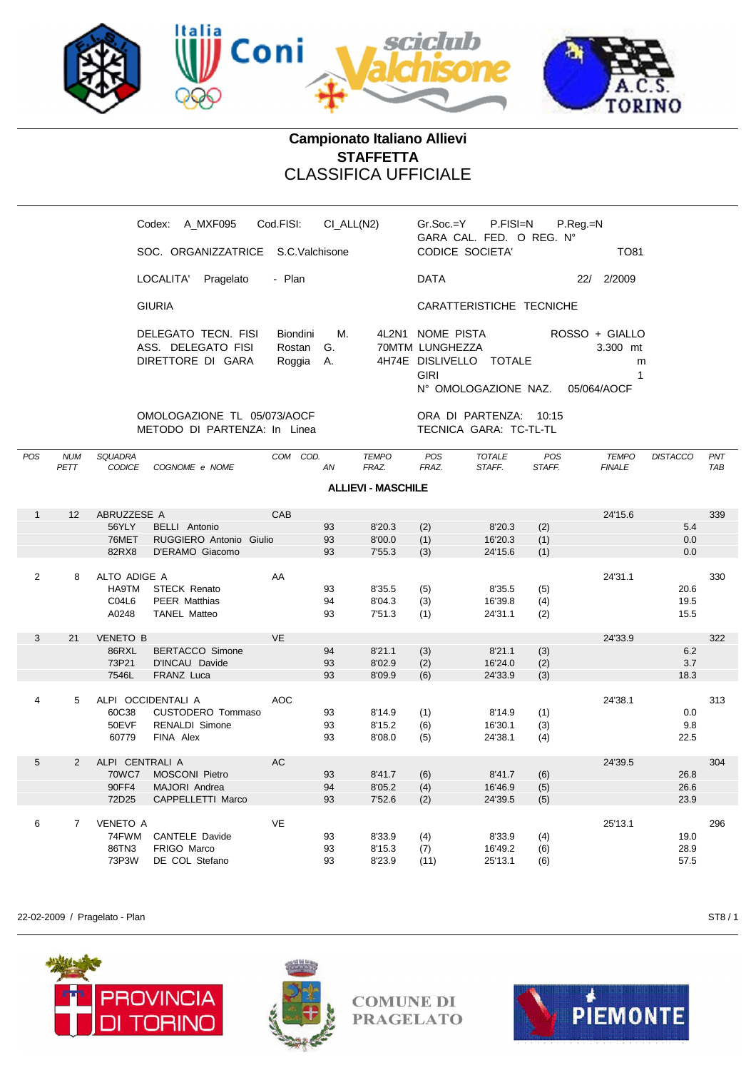

## **Campionato Italiano Allievi STAFFETTA** CLASSIFICA UFFICIALE

| Cod.FISI:<br>A MXF095<br>Codex:                                                             | CI ALL(N2)            | P.FISI=N<br>$Gr.Soc = Y$                                                                                 | $P_{\cdot}$ Reg $_{\cdot}$ =N                  |
|---------------------------------------------------------------------------------------------|-----------------------|----------------------------------------------------------------------------------------------------------|------------------------------------------------|
| SOC. ORGANIZZATRICE S.C. Valchisone                                                         |                       | GARA CAL. FED. O REG. N°<br>CODICE SOCIETA'                                                              | <b>TO81</b>                                    |
| LOCALITA'<br>Pragelato<br>- Plan                                                            |                       | <b>DATA</b>                                                                                              | 2/2009<br>22/                                  |
| <b>GIURIA</b>                                                                               |                       | CARATTERISTICHE TECNICHE                                                                                 |                                                |
| DELEGATO TECN. FISI<br><b>Biondini</b><br>ASS. DELEGATO FISI<br>DIRETTORE DI GARA<br>Roggia | М.<br>Rostan G.<br>A. | 4L2N1 NOME PISTA<br>70MTM LUNGHEZZA<br>4H74E DISLIVELLO<br>TOTALE<br><b>GIRI</b><br>N° OMOLOGAZIONE NAZ. | ROSSO + GIALLO<br>3.300 mt<br>m<br>05/064/AOCF |
| OMOLOGAZIONE TL 05/073/AOCF                                                                 |                       | ORA DI PARTENZA:<br>10:15                                                                                |                                                |

METODO DI PARTENZA: In Linea TECNICA GARA: TC-TL-TL

| POS            | <b>NUM</b><br>PETT | <b>SQUADRA</b><br><b>CODICE</b> | COGNOME e NOME          |            | COM COD.<br>AN | <b>TEMPO</b><br>FRAZ.     | POS<br>FRAZ. | <b>TOTALE</b><br>STAFF. | POS<br>STAFF. | <b>TEMPO</b><br><b>FINALE</b> | <b>DISTACCO</b> | PNT<br><b>TAB</b> |
|----------------|--------------------|---------------------------------|-------------------------|------------|----------------|---------------------------|--------------|-------------------------|---------------|-------------------------------|-----------------|-------------------|
|                |                    |                                 |                         |            |                | <b>ALLIEVI - MASCHILE</b> |              |                         |               |                               |                 |                   |
| $\mathbf{1}$   | 12                 | ABRUZZESE A                     |                         | CAB        |                |                           |              |                         |               | 24'15.6                       |                 | 339               |
|                |                    | 56YLY                           | <b>BELLI</b> Antonio    |            | 93             | 8'20.3                    | (2)          | 8'20.3                  | (2)           |                               | 5.4             |                   |
|                |                    | 76MET                           | RUGGIERO Antonio Giulio |            | 93             | 8'00.0                    | (1)          | 16'20.3                 | (1)           |                               | 0.0             |                   |
|                |                    | 82RX8                           | D'ERAMO Giacomo         |            | 93             | 7'55.3                    | (3)          | 24'15.6                 | (1)           |                               | 0.0             |                   |
|                |                    |                                 |                         |            |                |                           |              |                         |               |                               |                 |                   |
| $\overline{2}$ | 8                  | ALTO ADIGE A                    |                         | AA         |                |                           |              |                         |               | 24'31.1                       |                 | 330               |
|                |                    | <b>HA9TM</b>                    | <b>STECK Renato</b>     |            | 93             | 8'35.5                    | (5)          | 8'35.5                  | (5)           |                               | 20.6            |                   |
|                |                    | C04L6                           | <b>PEER Matthias</b>    |            | 94             | 8'04.3                    | (3)          | 16'39.8                 | (4)           |                               | 19.5            |                   |
|                |                    | A0248                           | <b>TANEL Matteo</b>     |            | 93             | 7'51.3                    | (1)          | 24'31.1                 | (2)           |                               | 15.5            |                   |
|                |                    |                                 |                         |            |                |                           |              |                         |               |                               |                 |                   |
| 3              | 21                 | <b>VENETO B</b>                 |                         | <b>VE</b>  |                |                           |              |                         |               | 24'33.9                       |                 | 322               |
|                |                    | 86RXL                           | <b>BERTACCO Simone</b>  |            | 94             | 8'21.1                    | (3)          | 8'21.1                  | (3)           |                               | 6.2             |                   |
|                |                    | 73P21                           | D'INCAU Davide          |            | 93             | 8'02.9                    | (2)          | 16'24.0                 | (2)           |                               | 3.7             |                   |
|                |                    | 7546L                           | FRANZ Luca              |            | 93             | 8'09.9                    | (6)          | 24'33.9                 | (3)           |                               | 18.3            |                   |
|                |                    |                                 |                         |            |                |                           |              |                         |               |                               |                 |                   |
| 4              | 5                  |                                 | ALPI OCCIDENTALI A      | <b>AOC</b> |                |                           |              |                         |               | 24'38.1                       |                 | 313               |
|                |                    | 60C38                           | CUSTODERO Tommaso       |            | 93             | 8'14.9                    | (1)          | 8'14.9                  | (1)           |                               | 0.0             |                   |
|                |                    | 50EVF                           | <b>RENALDI Simone</b>   |            | 93             | 8'15.2                    | (6)          | 16'30.1                 | (3)           |                               | 9.8             |                   |
|                |                    | 60779                           | FINA Alex               |            | 93             | 8'08.0                    | (5)          | 24'38.1                 | (4)           |                               | 22.5            |                   |
|                |                    |                                 |                         |            |                |                           |              |                         |               |                               |                 |                   |
| 5              | $\overline{2}$     | ALPI CENTRALI A                 |                         | <b>AC</b>  |                |                           |              |                         |               | 24'39.5                       |                 | 304               |
|                |                    | <b>70WC7</b>                    | <b>MOSCONI Pietro</b>   |            | 93             | 8'41.7                    | (6)          | 8'41.7                  | (6)           |                               | 26.8            |                   |
|                |                    | 90FF4                           | MAJORI Andrea           |            | 94             | 8'05.2                    | (4)          | 16'46.9                 | (5)           |                               | 26.6            |                   |
|                |                    | 72D25                           | CAPPELLETTI Marco       |            | 93             | 7'52.6                    | (2)          | 24'39.5                 | (5)           |                               | 23.9            |                   |
|                |                    |                                 |                         |            |                |                           |              |                         |               |                               |                 |                   |
| 6              | $\overline{7}$     | <b>VENETO A</b>                 |                         | <b>VE</b>  |                |                           |              |                         |               | 25'13.1                       |                 | 296               |
|                |                    | 74FWM                           | <b>CANTELE Davide</b>   |            | 93             | 8'33.9                    | (4)          | 8'33.9                  | (4)           |                               | 19.0            |                   |
|                |                    | 86TN3                           | FRIGO Marco             |            | 93             | 8'15.3                    | (7)          | 16'49.2                 | (6)           |                               | 28.9            |                   |
|                |                    | 73P3W                           | DE COL Stefano          |            | 93             | 8'23.9                    | (11)         | 25'13.1                 | (6)           |                               | 57.5            |                   |
|                |                    |                                 |                         |            |                |                           |              |                         |               |                               |                 |                   |

22-02-2009 / Pragelato - Plan ST8 / 1





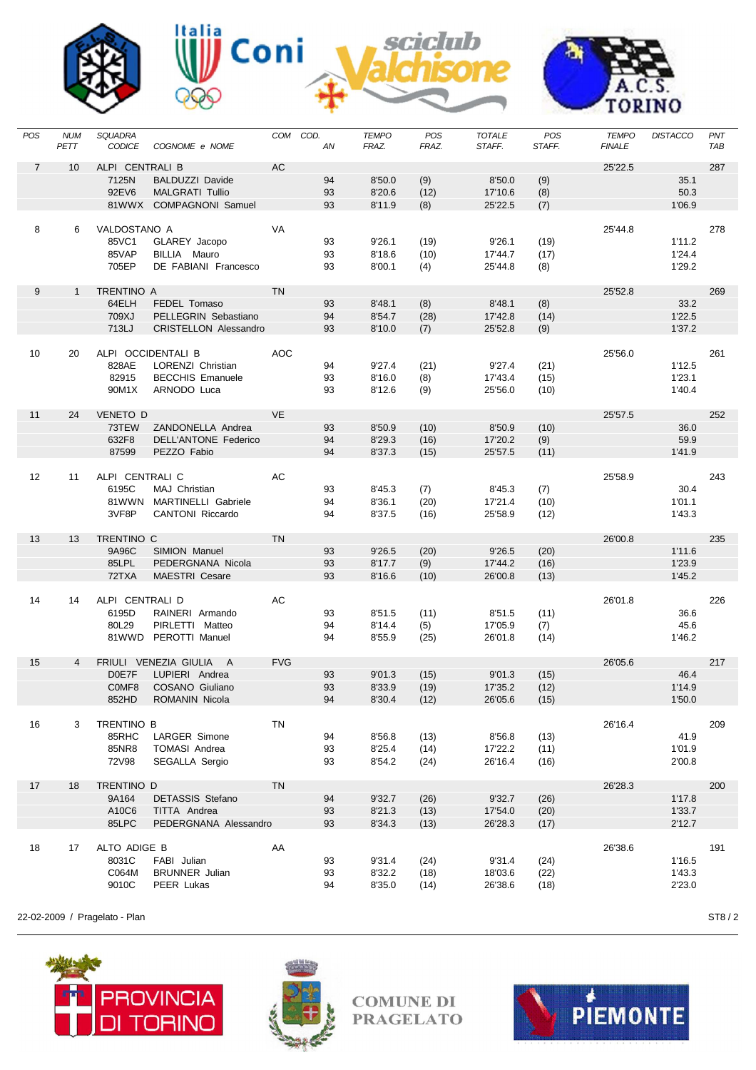









L,

| POS               | <b>NUM</b><br>PETT | SQUADRA<br><b>CODICE</b> | COGNOME e NOME                    |            | COM COD.<br>AN | <b>TEMPO</b><br>FRAZ. | POS<br>FRAZ. | <b>TOTALE</b><br>STAFF. | POS<br>STAFF. | <b>TEMPO</b><br><b>FINALE</b> | <b>DISTACCO</b> | PNT<br>TAB |
|-------------------|--------------------|--------------------------|-----------------------------------|------------|----------------|-----------------------|--------------|-------------------------|---------------|-------------------------------|-----------------|------------|
| $\overline{7}$    | 10                 | ALPI CENTRALI B<br>7125N | <b>BALDUZZI Davide</b>            | AC         | 94             | 8'50.0                | (9)          | 8'50.0                  | (9)           | 25'22.5                       | 35.1            | 287        |
|                   |                    | 92EV6                    | <b>MALGRATI Tullio</b>            |            | 93             | 8'20.6                | (12)         | 17'10.6                 | (8)           |                               | 50.3            |            |
|                   |                    |                          | 81WWX COMPAGNONI Samuel           |            | 93             | 8'11.9                | (8)          | 25'22.5                 | (7)           |                               | 1'06.9          |            |
|                   |                    |                          |                                   |            |                |                       |              |                         |               |                               |                 |            |
| 8                 | 6                  | VALDOSTANO A             |                                   | VA         |                |                       |              |                         |               | 25'44.8                       |                 | 278        |
|                   |                    | 85VC1                    | GLAREY Jacopo                     |            | 93             | 9'26.1                | (19)         | 9'26.1                  | (19)          |                               | 1'11.2          |            |
|                   |                    | 85VAP                    | BILLIA Mauro                      |            | 93             | 8'18.6                | (10)         | 17'44.7                 | (17)          |                               | 1'24.4          |            |
|                   |                    | 705EP                    | DE FABIANI Francesco              |            | 93             | 8'00.1                | (4)          | 25'44.8                 | (8)           |                               | 1'29.2          |            |
|                   |                    |                          |                                   |            |                |                       |              |                         |               |                               |                 |            |
| 9                 | $\mathbf{1}$       | <b>TRENTINO A</b>        |                                   | <b>TN</b>  |                |                       |              |                         |               | 25'52.8                       |                 | 269        |
|                   |                    | 64ELH                    | FEDEL Tomaso                      |            | 93             | 8'48.1                | (8)          | 8'48.1                  | (8)           |                               | 33.2            |            |
|                   |                    | 709XJ                    | PELLEGRIN Sebastiano              |            | 94             | 8'54.7                | (28)         | 17'42.8                 | (14)          |                               | 1'22.5          |            |
|                   |                    | 713LJ                    | <b>CRISTELLON Alessandro</b>      |            | 93             | 8'10.0                | (7)          | 25'52.8                 | (9)           |                               | 1'37.2          |            |
|                   |                    |                          | ALPI OCCIDENTALI B                | <b>AOC</b> |                |                       |              |                         |               | 25'56.0                       |                 |            |
| 10                | 20                 | 828AE                    | LORENZI Christian                 |            | 94             | 9'27.4                |              | 9'27.4                  |               |                               | 1'12.5          | 261        |
|                   |                    | 82915                    | <b>BECCHIS Emanuele</b>           |            | 93             | 8'16.0                | (21)         | 17'43.4                 | (21)          |                               | 1'23.1          |            |
|                   |                    | 90M1X                    | ARNODO Luca                       |            | 93             | 8'12.6                | (8)<br>(9)   | 25'56.0                 | (15)<br>(10)  |                               | 1'40.4          |            |
|                   |                    |                          |                                   |            |                |                       |              |                         |               |                               |                 |            |
| 11                | 24                 | VENETO D                 |                                   | <b>VE</b>  |                |                       |              |                         |               | 25'57.5                       |                 | 252        |
|                   |                    | 73TEW                    | ZANDONELLA Andrea                 |            | 93             | 8'50.9                | (10)         | 8'50.9                  | (10)          |                               | 36.0            |            |
|                   |                    | 632F8                    | DELL'ANTONE Federico              |            | 94             | 8'29.3                | (16)         | 17'20.2                 | (9)           |                               | 59.9            |            |
|                   |                    | 87599                    | PEZZO Fabio                       |            | 94             | 8'37.3                | (15)         | 25'57.5                 | (11)          |                               | 1'41.9          |            |
|                   |                    |                          |                                   |            |                |                       |              |                         |               |                               |                 |            |
| $12 \overline{ }$ | 11                 | ALPI CENTRALI C          |                                   | AC         |                |                       |              |                         |               | 25'58.9                       |                 | 243        |
|                   |                    | 6195C                    | MAJ Christian                     |            | 93             | 8'45.3                | (7)          | 8'45.3                  | (7)           |                               | 30.4            |            |
|                   |                    | 81WWN                    | MARTINELLI Gabriele               |            | 94             | 8'36.1                | (20)         | 17'21.4                 | (10)          |                               | 1'01.1          |            |
|                   |                    | 3VF8P                    | <b>CANTONI</b> Riccardo           |            | 94             | 8'37.5                | (16)         | 25'58.9                 | (12)          |                               | 1'43.3          |            |
|                   |                    |                          |                                   |            |                |                       |              |                         |               |                               |                 |            |
| 13                | 13                 | TRENTINO C               |                                   | <b>TN</b>  |                |                       |              |                         |               | 26'00.8                       |                 | 235        |
|                   |                    | 9A96C                    | SIMION Manuel                     |            | 93             | 9'26.5                | (20)         | 9'26.5                  | (20)          |                               | 1'11.6          |            |
|                   |                    | 85LPL                    | PEDERGNANA Nicola                 |            | 93             | 8'17.7                | (9)          | 17'44.2                 | (16)          |                               | 1'23.9          |            |
|                   |                    | 72TXA                    | MAESTRI Cesare                    |            | 93             | 8'16.6                | (10)         | 26'00.8                 | (13)          |                               | 1'45.2          |            |
|                   |                    |                          |                                   |            |                |                       |              |                         |               |                               |                 |            |
| 14                | 14                 | ALPI CENTRALI D          |                                   | AC         |                |                       |              |                         |               | 26'01.8                       |                 | 226        |
|                   |                    | 6195D                    | RAINERI Armando                   |            | 93             | 8'51.5                | (11)         | 8'51.5                  | (11)          |                               | 36.6            |            |
|                   |                    | 80L29                    | PIRLETTI Matteo                   |            | 94             | 8'14.4                | (5)          | 17'05.9                 | (7)           |                               | 45.6            |            |
|                   |                    |                          | 81WWD PEROTTI Manuel              |            | 94             | 8'55.9                | (25)         | 26'01.8                 | (14)          |                               | 1'46.2          |            |
|                   |                    |                          |                                   |            |                |                       |              |                         |               |                               |                 |            |
| 15                | $\overline{4}$     |                          | FRIULI VENEZIA GIULIA A           | <b>FVG</b> |                |                       |              |                         |               | 26'05.6                       | 46.4            | 217        |
|                   |                    | D0E7F<br>C0MF8           | LUPIERI Andrea<br>COSANO Giuliano |            | 93<br>93       | 9'01.3                | (15)         | 9'01.3                  | (15)          |                               | 1'14.9          |            |
|                   |                    |                          |                                   |            |                | 8'33.9                | (19)         | 17'35.2                 | (12)          |                               |                 |            |
|                   |                    | 852HD                    | ROMANIN Nicola                    |            | 94             | 8'30.4                | (12)         | 26'05.6                 | (15)          |                               | 1'50.0          |            |
| 16                | 3                  | TRENTINO B               |                                   | TN         |                |                       |              |                         |               | 26'16.4                       |                 | 209        |
|                   |                    | 85RHC                    | LARGER Simone                     |            | 94             | 8'56.8                | (13)         | 8'56.8                  | (13)          |                               | 41.9            |            |
|                   |                    | 85NR8                    | <b>TOMASI Andrea</b>              |            | 93             | 8'25.4                | (14)         | 17'22.2                 | (11)          |                               | 1'01.9          |            |
|                   |                    | 72V98                    | SEGALLA Sergio                    |            | 93             | 8'54.2                | (24)         | 26'16.4                 | (16)          |                               | 2'00.8          |            |
|                   |                    |                          |                                   |            |                |                       |              |                         |               |                               |                 |            |
| 17                | 18                 | TRENTINO D               |                                   | <b>TN</b>  |                |                       |              |                         |               | 26'28.3                       |                 | 200        |
|                   |                    | 9A164                    | <b>DETASSIS Stefano</b>           |            | 94             | 9'32.7                | (26)         | 9'32.7                  | (26)          |                               | 1'17.8          |            |
|                   |                    | A10C6                    | TITTA Andrea                      |            | 93             | 8'21.3                | (13)         | 17'54.0                 | (20)          |                               | 1'33.7          |            |
|                   |                    | 85LPC                    | PEDERGNANA Alessandro             |            | 93             | 8'34.3                | (13)         | 26'28.3                 | (17)          |                               | 2'12.7          |            |
|                   |                    |                          |                                   |            |                |                       |              |                         |               |                               |                 |            |
| 18                | 17                 | ALTO ADIGE B             |                                   | AA         |                |                       |              |                         |               | 26'38.6                       |                 | 191        |
|                   |                    | 8031C                    | FABI Julian                       |            | 93             | 9'31.4                | (24)         | 9'31.4                  | (24)          |                               | 1'16.5          |            |
|                   |                    | C064M                    | <b>BRUNNER</b> Julian             |            | 93             | 8'32.2                | (18)         | 18'03.6                 | (22)          |                               | 1'43.3          |            |
|                   |                    | 9010C                    | PEER Lukas                        |            | 94             | 8'35.0                | (14)         | 26'38.6                 | (18)          |                               | 2'23.0          |            |
|                   |                    |                          |                                   |            |                |                       |              |                         |               |                               |                 |            |

22-02-2009 / Pragelato - Plan ST8 / 2





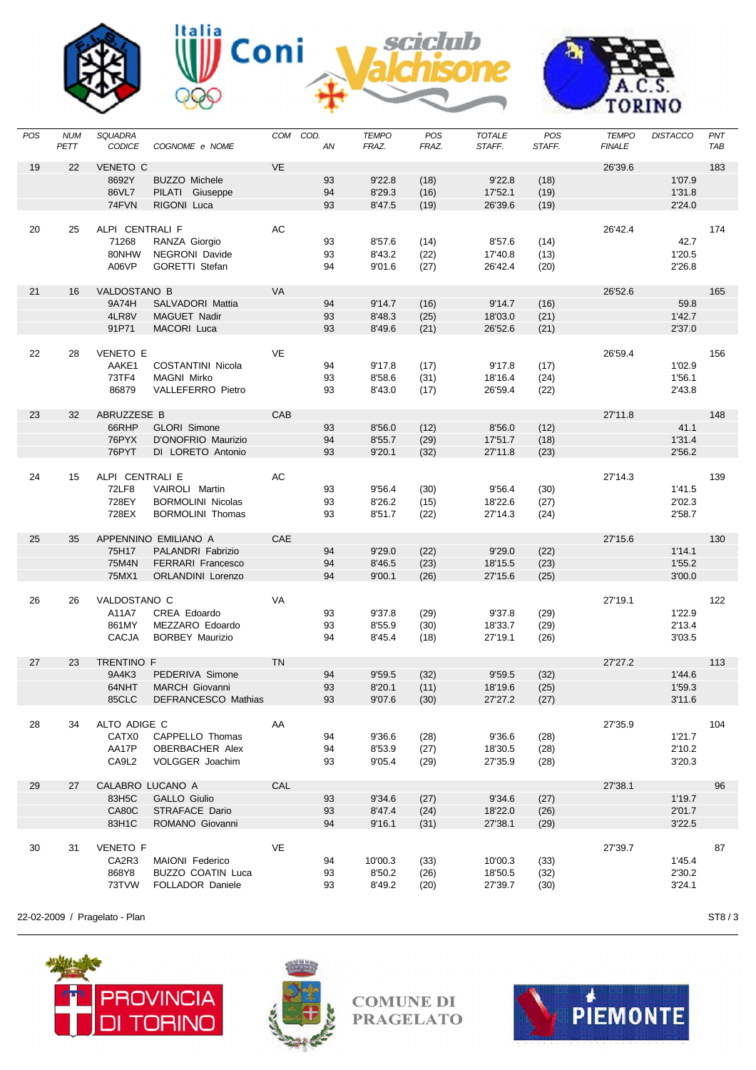









L,

| POS | <b>NUM</b><br>PETT | <b>SQUADRA</b><br><b>CODICE</b> | COGNOME e NOME           | COM       | COD.<br>AN | <b>TEMPO</b><br>FRAZ. | POS<br>FRAZ. | <b>TOTALE</b><br>STAFF. | <b>POS</b><br>STAFF. | <b>TEMPO</b><br><b>FINALE</b> | <b>DISTACCO</b> | PNT<br>TAB |
|-----|--------------------|---------------------------------|--------------------------|-----------|------------|-----------------------|--------------|-------------------------|----------------------|-------------------------------|-----------------|------------|
| 19  | 22                 | <b>VENETO C</b>                 |                          | VE        |            |                       |              |                         |                      | 26'39.6                       |                 | 183        |
|     |                    | 8692Y                           | <b>BUZZO Michele</b>     |           | 93         | 9'22.8                | (18)         | 9'22.8                  | (18)                 |                               | 1'07.9          |            |
|     |                    | 86VL7                           | PILATI Giuseppe          |           | 94         | 8'29.3                | (16)         | 17'52.1                 | (19)                 |                               | 1'31.8          |            |
|     |                    | 74FVN                           | RIGONI Luca              |           | 93         | 8'47.5                | (19)         | 26'39.6                 | (19)                 |                               | 2'24.0          |            |
|     |                    |                                 |                          |           |            |                       |              |                         |                      |                               |                 |            |
| 20  | 25                 | ALPI CENTRALI F                 |                          | AC        |            |                       |              |                         |                      | 26'42.4                       |                 | 174        |
|     |                    | 71268                           | RANZA Giorgio            |           | 93         | 8'57.6                | (14)         | 8'57.6                  | (14)                 |                               | 42.7            |            |
|     |                    | 80NHW                           | NEGRONI Davide           |           | 93         | 8'43.2                | (22)         | 17'40.8                 | (13)                 |                               | 1'20.5          |            |
|     |                    | A06VP                           | <b>GORETTI Stefan</b>    |           | 94         | 9'01.6                | (27)         | 26'42.4                 | (20)                 |                               | 2'26.8          |            |
|     |                    |                                 |                          |           |            |                       |              |                         |                      |                               |                 |            |
| 21  | 16                 | VALDOSTANO B                    |                          | VA        |            |                       |              |                         |                      | 26'52.6                       |                 | 165        |
|     |                    | 9A74H                           | <b>SALVADORI Mattia</b>  |           | 94         | 9'14.7                | (16)         | 9'14.7                  | (16)                 |                               | 59.8            |            |
|     |                    | 4LR8V                           | MAGUET Nadir             |           | 93         | 8'48.3                | (25)         | 18'03.0                 | (21)                 |                               | 1'42.7          |            |
|     |                    | 91P71                           | MACORI Luca              |           | 93         | 8'49.6                | (21)         | 26'52.6                 | (21)                 |                               | 2'37.0          |            |
|     |                    |                                 |                          |           |            |                       |              |                         |                      |                               |                 |            |
| 22  | 28                 | <b>VENETO E</b>                 |                          | <b>VE</b> |            |                       |              |                         |                      | 26'59.4                       |                 | 156        |
|     |                    | AAKE1                           | <b>COSTANTINI Nicola</b> |           | 94         | 9'17.8                | (17)         | 9'17.8                  | (17)                 |                               | 1'02.9          |            |
|     |                    | 73TF4                           | <b>MAGNI Mirko</b>       |           | 93         | 8'58.6                | (31)         | 18'16.4                 | (24)                 |                               | 1'56.1          |            |
|     |                    | 86879                           | <b>VALLEFERRO Pietro</b> |           | 93         | 8'43.0                | (17)         | 26'59.4                 | (22)                 |                               | 2'43.8          |            |
|     |                    |                                 |                          |           |            |                       |              |                         |                      |                               |                 |            |
| 23  | 32                 | ABRUZZESE B                     |                          | CAB       |            |                       |              |                         |                      | 27'11.8                       |                 | 148        |
|     |                    | 66RHP                           | <b>GLORI Simone</b>      |           | 93         | 8'56.0                | (12)         | 8'56.0                  | (12)                 |                               | 41.1            |            |
|     |                    | 76PYX                           | D'ONOFRIO Maurizio       |           | 94         | 8'55.7                | (29)         | 17'51.7                 | (18)                 |                               | 1'31.4          |            |
|     |                    | 76PYT                           | DI LORETO Antonio        |           | 93         | 9'20.1                | (32)         | 27'11.8                 | (23)                 |                               | 2'56.2          |            |
|     |                    |                                 |                          |           |            |                       |              |                         |                      |                               |                 |            |
| 24  | 15                 | ALPI CENTRALI E                 |                          | AC        |            |                       |              |                         |                      | 27'14.3                       |                 | 139        |
|     |                    | <b>72LF8</b>                    | VAIROLI Martin           |           | 93         | 9'56.4                | (30)         | 9'56.4                  | (30)                 |                               | 1'41.5          |            |
|     |                    | 728EY                           | <b>BORMOLINI Nicolas</b> |           | 93         | 8'26.2                | (15)         | 18'22.6                 | (27)                 |                               | 2'02.3          |            |
|     |                    | 728EX                           | <b>BORMOLINI Thomas</b>  |           | 93         | 8'51.7                | (22)         | 27'14.3                 | (24)                 |                               | 2'58.7          |            |
|     |                    |                                 |                          |           |            |                       |              |                         |                      |                               |                 |            |
| 25  | 35                 |                                 | APPENNINO EMILIANO A     | CAE       |            |                       |              |                         |                      | 27'15.6                       |                 | 130        |
|     |                    | 75H17                           | PALANDRI Fabrizio        |           | 94         | 9'29.0                | (22)         | 9'29.0                  | (22)                 |                               | 1'14.1          |            |
|     |                    | 75M4N                           | <b>FERRARI Francesco</b> |           | 94         | 8'46.5                | (23)         | 18'15.5                 | (23)                 |                               | 1'55.2          |            |
|     |                    | 75MX1                           | <b>ORLANDINI Lorenzo</b> |           | 94         | 9'00.1                | (26)         | 27'15.6                 | (25)                 |                               | 3'00.0          |            |
|     |                    |                                 |                          |           |            |                       |              |                         |                      |                               |                 |            |
| 26  | 26                 | VALDOSTANO C<br>A11A7           | CREA Edoardo             | VA        | 93         | 9'37.8                |              | 9'37.8                  |                      | 27'19.1                       | 1'22.9          | 122        |
|     |                    | 861MY                           | MEZZARO Edoardo          |           | 93         | 8'55.9                | (29)         |                         | (29)                 |                               | 2'13.4          |            |
|     |                    | <b>CACJA</b>                    | <b>BORBEY Maurizio</b>   |           | 94         | 8'45.4                | (30)<br>(18) | 18'33.7<br>27'19.1      | (29)<br>(26)         |                               | 3'03.5          |            |
|     |                    |                                 |                          |           |            |                       |              |                         |                      |                               |                 |            |
| 27  | 23                 | <b>TRENTINO F</b>               |                          | <b>TN</b> |            |                       |              |                         |                      | 27'27.2                       |                 | 113        |
|     |                    | 9A4K3                           | PEDERIVA Simone          |           | 94         | 9'59.5                | (32)         | 9'59.5                  | (32)                 |                               | 1'44.6          |            |
|     |                    | 64NHT                           | <b>MARCH Giovanni</b>    |           | 93         | 8'20.1                | (11)         | 18'19.6                 | (25)                 |                               | 1'59.3          |            |
|     |                    | 85CLC                           | DEFRANCESCO Mathias      |           | 93         | 9'07.6                | (30)         | 27'27.2                 | (27)                 |                               | 3'11.6          |            |
|     |                    |                                 |                          |           |            |                       |              |                         |                      |                               |                 |            |
| 28  | 34                 | ALTO ADIGE C                    |                          | AA        |            |                       |              |                         |                      | 27'35.9                       |                 | 104        |
|     |                    | CATX0                           | CAPPELLO Thomas          |           | 94         | 9'36.6                | (28)         | 9'36.6                  | (28)                 |                               | 1'21.7          |            |
|     |                    | AA17P                           | OBERBACHER Alex          |           | 94         | 8'53.9                | (27)         | 18'30.5                 | (28)                 |                               | 2'10.2          |            |
|     |                    | CA9L2                           | VOLGGER Joachim          |           | 93         | 9'05.4                | (29)         | 27'35.9                 | (28)                 |                               | 3'20.3          |            |
|     |                    |                                 |                          |           |            |                       |              |                         |                      |                               |                 |            |
| 29  | 27                 | CALABRO LUCANO A                |                          | CAL       |            |                       |              |                         |                      | 27'38.1                       |                 | 96         |
|     |                    | 83H5C                           | GALLO Giulio             |           | 93         | 9'34.6                | (27)         | 9'34.6                  | (27)                 |                               | 1'19.7          |            |
|     |                    | CA80C                           | STRAFACE Dario           |           | 93         | 8'47.4                | (24)         | 18'22.0                 | (26)                 |                               | 2'01.7          |            |
|     |                    | 83H1C                           | ROMANO Giovanni          |           | 94         | 9'16.1                | (31)         | 27'38.1                 | (29)                 |                               | 3'22.5          |            |
|     |                    |                                 |                          |           |            |                       |              |                         |                      |                               |                 |            |
| 30  | 31                 | <b>VENETO F</b>                 |                          | VE        |            |                       |              |                         |                      | 27'39.7                       |                 | 87         |
|     |                    | CA2R3                           | MAIONI Federico          |           | 94         | 10'00.3               | (33)         | 10'00.3                 | (33)                 |                               | 1'45.4          |            |
|     |                    | 868Y8                           | <b>BUZZO COATIN Luca</b> |           | 93         | 8'50.2                | (26)         | 18'50.5                 | (32)                 |                               | 2'30.2          |            |
|     |                    | 73TVW                           | FOLLADOR Daniele         |           | 93         | 8'49.2                | (20)         | 27'39.7                 | (30)                 |                               | 3'24.1          |            |
|     |                    |                                 |                          |           |            |                       |              |                         |                      |                               |                 |            |

22-02-2009 / Pragelato - Plan ST8 / 3